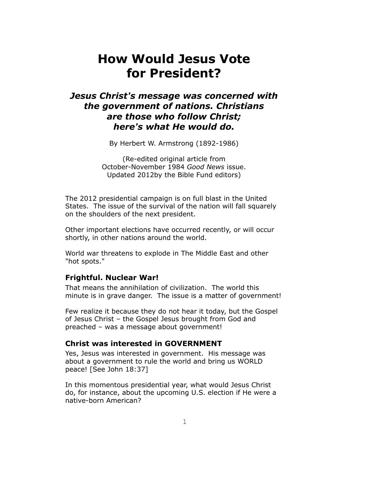# **How Would Jesus Vote for President?**

# *Jesus Christ's message was concerned with the government of nations. Christians are those who follow Christ; here's what He would do.*

By Herbert W. Armstrong (1892-1986)

(Re-edited original article from October-November 1984 *Good News* issue. Updated 2012by the Bible Fund editors)

The 2012 presidential campaign is on full blast in the United States. The issue of the survival of the nation will fall squarely on the shoulders of the next president.

Other important elections have occurred recently, or will occur shortly, in other nations around the world.

World war threatens to explode in The Middle East and other "hot spots."

# **Frightful. Nuclear War!**

That means the annihilation of civilization. The world this minute is in grave danger. The issue is a matter of government!

Few realize it because they do not hear it today, but the Gospel of Jesus Christ – the Gospel Jesus brought from God and preached – was a message about government!

# **Christ was interested in GOVERNMENT**

Yes, Jesus was interested in government. His message was about a government to rule the world and bring us WORLD peace! [See John 18:37]

In this momentous presidential year, what would Jesus Christ do, for instance, about the upcoming U.S. election if He were a native-born American?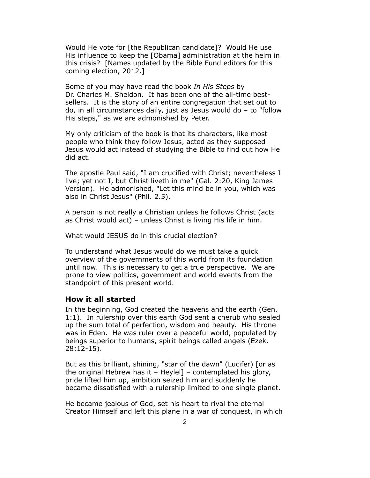Would He vote for [the Republican candidate]? Would He use His influence to keep the [Obama] administration at the helm in this crisis? [Names updated by the Bible Fund editors for this coming election, 2012.]

Some of you may have read the book *In His Steps* by Dr. Charles M. Sheldon. It has been one of the all-time bestsellers. It is the story of an entire congregation that set out to do, in all circumstances daily, just as Jesus would do – to "follow His steps," as we are admonished by Peter.

My only criticism of the book is that its characters, like most people who think they follow Jesus, acted as they supposed Jesus would act instead of studying the Bible to find out how He did act.

The apostle Paul said, "I am crucified with Christ; nevertheless I live; yet not I, but Christ liveth in me" (Gal. 2:20, King James Version). He admonished, "Let this mind be in you, which was also in Christ Jesus" (Phil. 2.5).

A person is not really a Christian unless he follows Christ (acts as Christ would act) – unless Christ is living His life in him.

What would JESUS do in this crucial election?

To understand what Jesus would do we must take a quick overview of the governments of this world from its foundation until now. This is necessary to get a true perspective. We are prone to view politics, government and world events from the standpoint of this present world.

# **How it all started**

In the beginning, God created the heavens and the earth (Gen. 1:1). In rulership over this earth God sent a cherub who sealed up the sum total of perfection, wisdom and beauty. His throne was in Eden. He was ruler over a peaceful world, populated by beings superior to humans, spirit beings called angels (Ezek. 28:12-15).

But as this brilliant, shining, "star of the dawn" (Lucifer) [or as the original Hebrew has it – Heylel] – contemplated his glory, pride lifted him up, ambition seized him and suddenly he became dissatisfied with a rulership limited to one single planet.

He became jealous of God, set his heart to rival the eternal Creator Himself and left this plane in a war of conquest, in which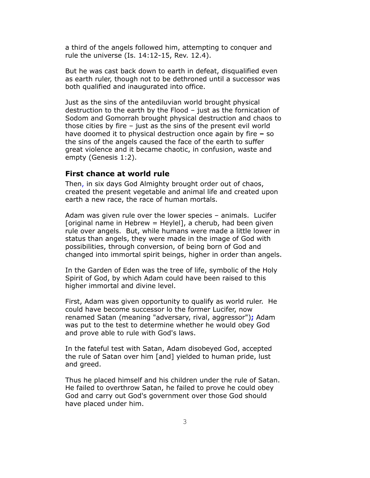a third of the angels followed him, attempting to conquer and rule the universe (Is. 14:12-15, Rev. 12.4).

But he was cast back down to earth in defeat, disqualified even as earth ruler, though not to be dethroned until a successor was both qualified and inaugurated into office.

Just as the sins of the antediluvian world brought physical destruction to the earth by the Flood – just as the fornication of Sodom and Gomorrah brought physical destruction and chaos to those cities by fire – just as the sins of the present evil world have doomed it to physical destruction once again by fire **–** so the sins of the angels caused the face of the earth to suffer great violence and it became chaotic, in confusion, waste and empty (Genesis 1:2).

# **First chance at world rule**

Then, in six days God Almighty brought order out of chaos, created the present vegetable and animal life and created upon earth a new race, the race of human mortals.

Adam was given rule over the lower species – animals. Lucifer [original name in Hebrew  $=$  Heylel], a cherub, had been given rule over angels. But, while humans were made a little lower in status than angels, they were made in the image of God with possibilities, through conversion, of being born of God and changed into immortal spirit beings, higher in order than angels.

In the Garden of Eden was the tree of life, symbolic of the Holy Spirit of God, by which Adam could have been raised to this higher immortal and divine level.

First, Adam was given opportunity to qualify as world ruler. He could have become successor lo the former Lucifer, now renamed Satan (meaning "adversary, rival, aggressor")**;** Adam was put to the test to determine whether he would obey God and prove able to rule with God's laws.

In the fateful test with Satan, Adam disobeyed God, accepted the rule of Satan over him [and] yielded to human pride, lust and greed.

Thus he placed himself and his children under the rule of Satan. He failed to overthrow Satan, he failed to prove he could obey God and carry out God's government over those God should have placed under him.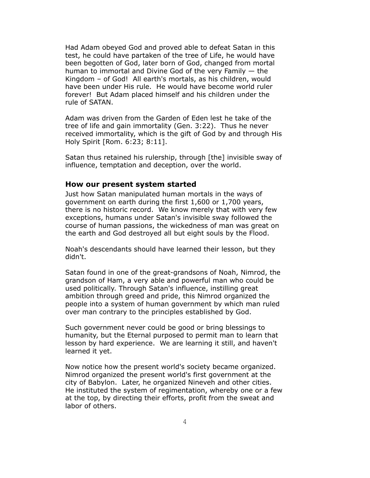Had Adam obeyed God and proved able to defeat Satan in this test, he could have partaken of the tree of Life, he would have been begotten of God, later born of God, changed from mortal human to immortal and Divine God of the very Family — the Kingdom – of God! All earth's mortals, as his children, would have been under His rule. He would have become world ruler forever! But Adam placed himself and his children under the rule of SATAN.

Adam was driven from the Garden of Eden lest he take of the tree of life and gain immortality (Gen. 3:22). Thus he never received immortality, which is the gift of God by and through His Holy Spirit [Rom. 6:23; 8:11].

Satan thus retained his rulership, through [the] invisible sway of influence, temptation and deception, over the world.

#### **How our present system started**

Just how Satan manipulated human mortals in the ways of government on earth during the first 1,600 or 1,700 years, there is no historic record. We know merely that with very few exceptions, humans under Satan's invisible sway followed the course of human passions, the wickedness of man was great on the earth and God destroyed all but eight souls by the Flood.

Noah's descendants should have learned their lesson, but they didn't.

Satan found in one of the great-grandsons of Noah, Nimrod, the grandson of Ham, a very able and powerful man who could be used politically. Through Satan's influence, instilling great ambition through greed and pride, this Nimrod organized the people into a system of human government by which man ruled over man contrary to the principles established by God.

Such government never could be good or bring blessings to humanity, but the Eternal purposed to permit man to learn that lesson by hard experience. We are learning it still, and haven't learned it yet.

Now notice how the present world's society became organized. Nimrod organized the present world's first government at the city of Babylon. Later, he organized Nineveh and other cities. He instituted the system of regimentation, whereby one or a few at the top, by directing their efforts, profit from the sweat and labor of others.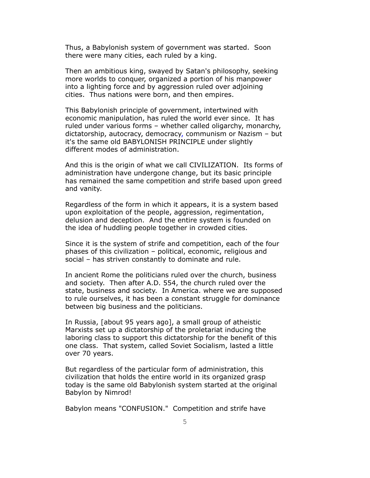Thus, a Babylonish system of government was started. Soon there were many cities, each ruled by a king.

Then an ambitious king, swayed by Satan's philosophy, seeking more worlds to conquer, organized a portion of his manpower into a lighting force and by aggression ruled over adjoining cities. Thus nations were born, and then empires.

This Babylonish principle of government, intertwined with economic manipulation, has ruled the world ever since. It has ruled under various forms – whether called oligarchy, monarchy, dictatorship, autocracy, democracy, communism or Nazism – but it's the same old BABYLONISH PRINCIPLE under slightly different modes of administration.

And this is the origin of what we call CIVILIZATION. Its forms of administration have undergone change, but its basic principle has remained the same competition and strife based upon greed and vanity.

Regardless of the form in which it appears, it is a system based upon exploitation of the people, aggression, regimentation, delusion and deception. And the entire system is founded on the idea of huddling people together in crowded cities.

Since it is the system of strife and competition, each of the four phases of this civilization – political, economic, religious and social – has striven constantly to dominate and rule.

In ancient Rome the politicians ruled over the church, business and society. Then after A.D. 554, the church ruled over the state, business and society. In America. where we are supposed to rule ourselves, it has been a constant struggle for dominance between big business and the politicians.

In Russia, [about 95 years ago], a small group of atheistic Marxists set up a dictatorship of the proletariat inducing the laboring class to support this dictatorship for the benefit of this one class. That system, called Soviet Socialism, lasted a little over 70 years.

But regardless of the particular form of administration, this civilization that holds the entire world in its organized grasp today is the same old Babylonish system started at the original Babylon by Nimrod!

Babylon means "CONFUSION." Competition and strife have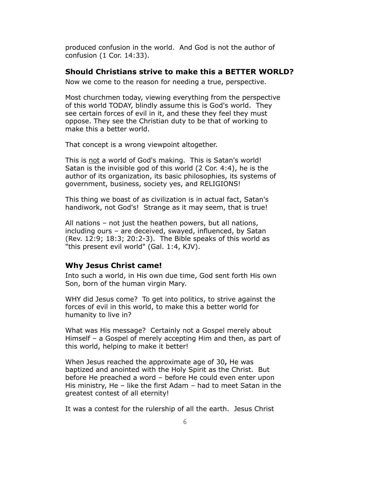produced confusion in the world. And God is not the author of confusion (1 Cor. 14:33).

#### **Should Christians strive to make this a BETTER WORLD?**

Now we come to the reason for needing a true, perspective.

Most churchmen today, viewing everything from the perspective of this world TODAY, blindly assume this is God's world. They see certain forces of evil in it, and these they feel they must oppose. They see the Christian duty to be that of working to make this a better world.

That concept is a wrong viewpoint altogether.

This is not a world of God's making. This is Satan's world! Satan is the invisible god of this world (2 Cor. 4:4), he is the author of its organization, its basic philosophies, its systems of government, business, society yes, and RELIGIONS!

This thing we boast of as civilization is in actual fact, Satan's handiwork, not God's! Strange as it may seem, that is true!

All nations – not just the heathen powers, but all nations, including ours – are deceived, swayed, influenced, by Satan (Rev. 12:9; 18:3; 20:2-3). The Bible speaks of this world as "this present evil world" (Gal. 1:4, KJV).

# **Why Jesus Christ came!**

Into such a world, in His own due time, God sent forth His own Son, born of the human virgin Mary.

WHY did Jesus come? To get into politics, to strive against the forces of evil in this world, to make this a better world for humanity to live in?

What was His message? Certainly not a Gospel merely about Himself – a Gospel of merely accepting Him and then, as part of this world, helping to make it better!

When Jesus reached the approximate age of 30**,** He was baptized and anointed with the Holy Spirit as the Christ. But before He preached a word – before He could even enter upon His ministry, He – like the first Adam – had to meet Satan in the greatest contest of all eternity!

It was a contest for the rulership of all the earth. Jesus Christ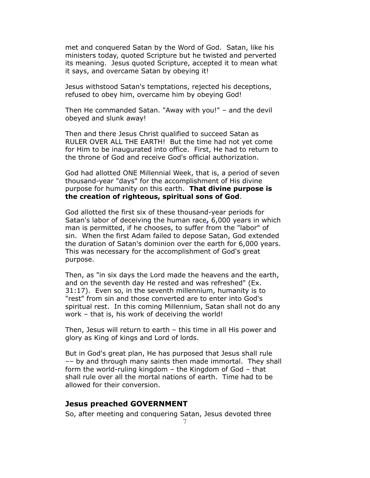met and conquered Satan by the Word of God. Satan, like his ministers today, quoted Scripture but he twisted and perverted its meaning. Jesus quoted Scripture, accepted it to mean what it says, and overcame Satan by obeying it!

Jesus withstood Satan's temptations, rejected his deceptions, refused to obey him, overcame him by obeying God!

Then He commanded Satan. "Away with you!" – and the devil obeyed and slunk away!

Then and there Jesus Christ qualified to succeed Satan as RULER OVER ALL THE EARTH! But the time had not yet come for Him to be inaugurated into office. First, He had to return to the throne of God and receive God's official authorization.

God had allotted ONE Millennial Week, that is, a period of seven thousand-year "days" for the accomplishment of His divine purpose for humanity on this earth. **That divine purpose is the creation of righteous, spiritual sons of God**.

God allotted the first six of these thousand-year periods for Satan's labor of deceiving the human race**,** 6,000 years in which man is permitted, if he chooses, to suffer from the "labor" of sin. When the first Adam failed to depose Satan, God extended the duration of Satan's dominion over the earth for 6,000 years. This was necessary for the accomplishment of God's great purpose.

Then, as "in six days the Lord made the heavens and the earth, and on the seventh day He rested and was refreshed" (Ex. 31:17). Even so, in the seventh millennium, humanity is to "rest" from sin and those converted are to enter into God's spiritual rest. In this coming Millennium, Satan shall not do any work – that is, his work of deceiving the world!

Then, Jesus will return to earth – this time in all His power and glory as King of kings and Lord of lords.

But in God's great plan, He has purposed that Jesus shall rule –– by and through many saints then made immortal. They shall form the world-ruling kingdom – the Kingdom of God – that shall rule over all the mortal nations of earth. Time had to be allowed for their conversion.

#### **Jesus preached GOVERNMENT**

So, after meeting and conquering Satan, Jesus devoted three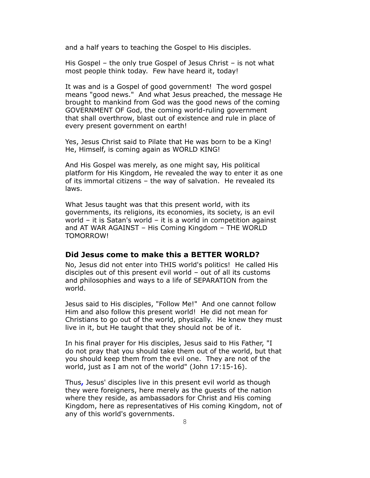and a half years to teaching the Gospel to His disciples.

His Gospel – the only true Gospel of Jesus Christ – is not what most people think today. Few have heard it, today!

It was and is a Gospel of good government! The word gospel means "good news." And what Jesus preached, the message He brought to mankind from God was the good news of the coming GOVERNMENT OF God, the coming world-ruling government that shall overthrow, blast out of existence and rule in place of every present government on earth!

Yes, Jesus Christ said to Pilate that He was born to be a King! He, Himself, is coming again as WORLD KING!

And His Gospel was merely, as one might say, His political platform for His Kingdom, He revealed the way to enter it as one of its immortal citizens – the way of salvation. He revealed its laws.

What Jesus taught was that this present world, with its governments, its religions, its economies, its society, is an evil world – it is Satan's world – it is a world in competition against and AT WAR AGAINST – His Coming Kingdom – THE WORLD TOMORROW!

# **Did Jesus come to make this a BETTER WORLD?**

No, Jesus did not enter into THIS world's politics! He called His disciples out of this present evil world – out of all its customs and philosophies and ways to a life of SEPARATION from the world.

Jesus said to His disciples, "Follow Me!" And one cannot follow Him and also follow this present world! He did not mean for Christians to go out of the world, physically. He knew they must live in it, but He taught that they should not be of it.

In his final prayer for His disciples, Jesus said to His Father, "I do not pray that you should take them out of the world, but that you should keep them from the evil one. They are not of the world, just as I am not of the world" (John 17:15-16).

Thus**,** Jesus' disciples live in this present evil world as though they were foreigners, here merely as the guests of the nation where they reside, as ambassadors for Christ and His coming Kingdom, here as representatives of His coming Kingdom, not of any of this world's governments.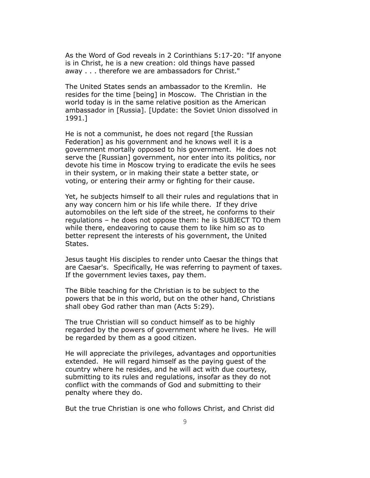As the Word of God reveals in 2 Corinthians 5:17-20: "If anyone is in Christ, he is a new creation: old things have passed away . . . therefore we are ambassadors for Christ."

The United States sends an ambassador to the Kremlin. He resides for the time [being] in Moscow. The Christian in the world today is in the same relative position as the American ambassador in [Russia]. [Update: the Soviet Union dissolved in 1991.]

He is not a communist, he does not regard [the Russian Federation] as his government and he knows well it is a government mortally opposed to his government. He does not serve the [Russian] government, nor enter into its politics, nor devote his time in Moscow trying to eradicate the evils he sees in their system, or in making their state a better state, or voting, or entering their army or fighting for their cause.

Yet, he subjects himself to all their rules and regulations that in any way concern him or his life while there. If they drive automobiles on the left side of the street, he conforms to their regulations – he does not oppose them: he is SUBJECT TO them while there, endeavoring to cause them to like him so as to better represent the interests of his government, the United States.

Jesus taught His disciples to render unto Caesar the things that are Caesar's. Specifically, He was referring to payment of taxes. If the government levies taxes, pay them.

The Bible teaching for the Christian is to be subject to the powers that be in this world, but on the other hand, Christians shall obey God rather than man (Acts 5:29).

The true Christian will so conduct himself as to be highly regarded by the powers of government where he lives. He will be regarded by them as a good citizen.

He will appreciate the privileges, advantages and opportunities extended. He will regard himself as the paying guest of the country where he resides, and he will act with due courtesy, submitting to its rules and regulations, insofar as they do not conflict with the commands of God and submitting to their penalty where they do.

But the true Christian is one who follows Christ, and Christ did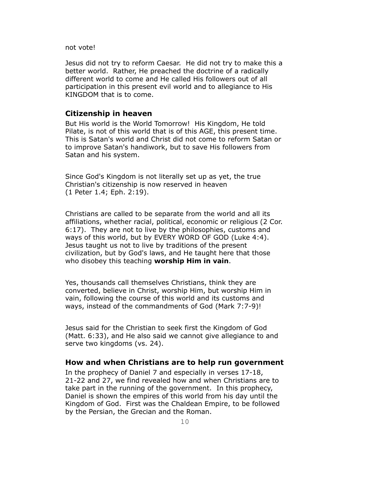not vote!

Jesus did not try to reform Caesar. He did not try to make this a better world. Rather, He preached the doctrine of a radically different world to come and He called His followers out of all participation in this present evil world and to allegiance to His KINGDOM that is to come.

## **Citizenship in heaven**

But His world is the World Tomorrow! His Kingdom, He told Pilate, is not of this world that is of this AGE, this present time. This is Satan's world and Christ did not come to reform Satan or to improve Satan's handiwork, but to save His followers from Satan and his system.

Since God's Kingdom is not literally set up as yet, the true Christian's citizenship is now reserved in heaven (1 Peter 1.4; Eph. 2:19).

Christians are called to be separate from the world and all its affiliations, whether racial, political, economic or religious (2 Cor. 6:17). They are not to live by the philosophies, customs and ways of this world, but by EVERY WORD OF GOD (Luke 4:4). Jesus taught us not to live by traditions of the present civilization, but by God's laws, and He taught here that those who disobey this teaching **worship Him in vain**.

Yes, thousands call themselves Christians, think they are converted, believe in Christ, worship Him, but worship Him in vain, following the course of this world and its customs and ways, instead of the commandments of God (Mark 7:7-9)!

Jesus said for the Christian to seek first the Kingdom of God (Matt. 6:33), and He also said we cannot give allegiance to and serve two kingdoms (vs. 24).

# **How and when Christians are to help run government**

In the prophecy of Daniel 7 and especially in verses 17-18, 21-22 and 27, we find revealed how and when Christians are to take part in the running of the government. In this prophecy, Daniel is shown the empires of this world from his day until the Kingdom of God. First was the Chaldean Empire, to be followed by the Persian, the Grecian and the Roman.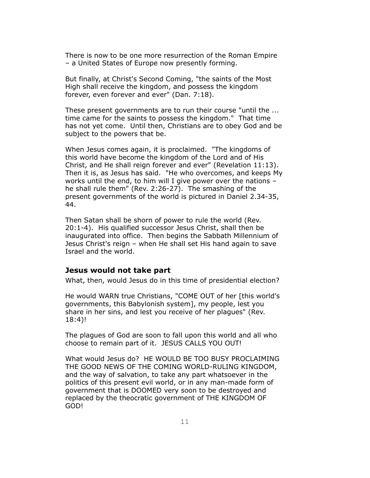There is now to be one more resurrection of the Roman Empire – a United States of Europe now presently forming.

But finally, at Christ's Second Coming, "the saints of the Most High shall receive the kingdom, and possess the kingdom forever, even forever and ever" (Dan. 7:18).

These present governments are to run their course "until the ... time came for the saints to possess the kingdom." That time has not yet come. Until then, Christians are to obey God and be subject to the powers that be.

When Jesus comes again, it is proclaimed. "The kingdoms of this world have become the kingdom of the Lord and of His Christ, and He shall reign forever and ever" (Revelation 11:13). Then it is, as Jesus has said. "He who overcomes, and keeps My works until the end, to him will I give power over the nations – he shall rule them" (Rev. 2:26-27). The smashing of the present governments of the world is pictured in Daniel 2.34-35, 44.

Then Satan shall be shorn of power to rule the world (Rev. 20:1-4). His qualified successor Jesus Christ, shall then be inaugurated into office. Then begins the Sabbath Millennium of Jesus Christ's reign – when He shall set His hand again to save Israel and the world.

## **Jesus would not take part**

What, then, would Jesus do in this time of presidential election?

He would WARN true Christians, "COME OUT of her [this world's governments, this Babylonish system], my people, lest you share in her sins, and lest you receive of her plagues" (Rev. 18:4)!

The plagues of God are soon to fall upon this world and all who choose to remain part of it. JESUS CALLS YOU OUT!

What would Jesus do? HE WOULD BE TOO BUSY PROCLAIMING THE GOOD NEWS OF THE COMING WORLD-RULING KINGDOM, and the way of salvation, to take any part whatsoever in the politics of this present evil world, or in any man-made form of government that is DOOMED very soon to be destroyed and replaced by the theocratic government of THE KINGDOM OF GOD!